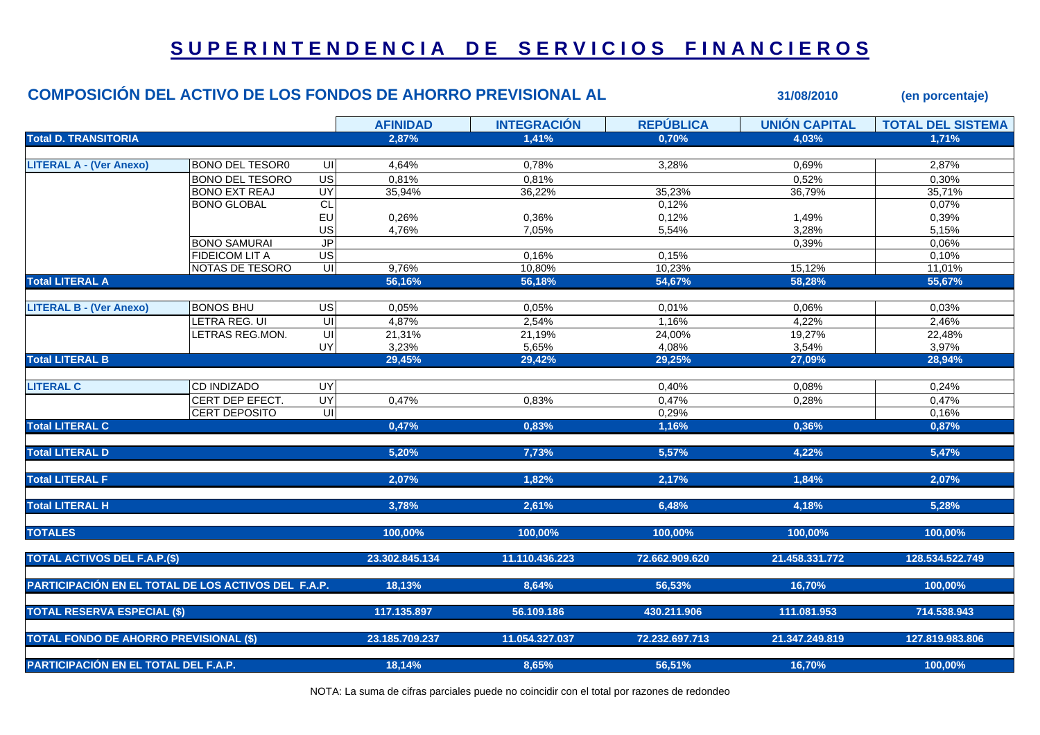## SUPERINTENDENCIA DE SERVICIOS FINANCIEROS

|                                                     | COMPOSICIÓN DEL ACTIVO DE LOS FONDOS DE AHORRO PREVISIONAL AL |                         |                 |                    |                  | 31/08/2010           | (en porcentaje)          |
|-----------------------------------------------------|---------------------------------------------------------------|-------------------------|-----------------|--------------------|------------------|----------------------|--------------------------|
|                                                     |                                                               |                         | <b>AFINIDAD</b> | <b>INTEGRACIÓN</b> | <b>REPÚBLICA</b> | <b>UNIÓN CAPITAL</b> | <b>TOTAL DEL SISTEMA</b> |
| <b>Total D. TRANSITORIA</b>                         |                                                               |                         | 2,87%           | 1,41%              | 0.70%            | 4.03%                | 1,71%                    |
|                                                     |                                                               |                         |                 |                    |                  |                      |                          |
| <b>LITERAL A - (Ver Anexo)</b>                      | <b>BONO DEL TESOR0</b>                                        | UI                      | 4,64%           | 0,78%              | 3,28%            | 0,69%                | 2,87%                    |
|                                                     | <b>BONO DEL TESORO</b>                                        | $\overline{\mathsf{u}}$ | 0,81%           | 0,81%              |                  | 0,52%                | 0,30%                    |
|                                                     | <b>BONO EXT REAJ</b>                                          | UY                      | 35,94%          | 36,22%             | 35,23%           | 36,79%               | 35,71%                   |
|                                                     | <b>BONO GLOBAL</b>                                            | CL                      |                 |                    | 0,12%            |                      | 0,07%                    |
|                                                     |                                                               | EU                      | 0,26%           | 0,36%              | 0,12%            | 1,49%                | 0,39%                    |
|                                                     |                                                               | US                      | 4,76%           | 7,05%              | 5,54%            | 3,28%                | 5,15%                    |
|                                                     | <b>BONO SAMURAI</b>                                           | J <sub>P</sub>          |                 |                    |                  | 0,39%                | 0,06%                    |
|                                                     | FIDEICOM LIT A                                                | US                      |                 | 0,16%              | 0,15%            |                      | 0,10%                    |
|                                                     | NOTAS DE TESORO                                               | UI                      | 9,76%           | 10,80%             | 10,23%           | 15,12%               | 11,01%                   |
| <b>Total LITERAL A</b>                              |                                                               |                         | 56,16%          | 56,18%             | 54,67%           | 58,28%               | 55,67%                   |
| <b>LITERAL B - (Ver Anexo)</b>                      | <b>BONOS BHU</b>                                              | $\overline{C}$          | 0,05%           | 0,05%              | 0,01%            | 0,06%                | 0,03%                    |
|                                                     | LETRA REG. UI                                                 | $\equiv$                | 4,87%           | 2,54%              | 1,16%            | 4,22%                | 2,46%                    |
|                                                     | LETRAS REG.MON.                                               | UI                      | 21,31%          | 21,19%             | 24,00%           | 19,27%               | 22,48%                   |
|                                                     |                                                               | UY                      | 3,23%           | 5,65%              | 4,08%            | 3,54%                | 3,97%                    |
| <b>Total LITERAL B</b>                              |                                                               |                         | 29,45%          | 29,42%             | 29,25%           | 27,09%               | 28,94%                   |
|                                                     |                                                               |                         |                 |                    |                  |                      |                          |
| <b>LITERAL C</b>                                    | <b>CD INDIZADO</b>                                            | UY                      |                 |                    | 0,40%            | 0,08%                | 0,24%                    |
|                                                     | CERT DEP EFECT.                                               | UY                      | 0,47%           | 0,83%              | 0,47%            | 0,28%                | 0,47%                    |
|                                                     | CERT DEPOSITO                                                 | $\overline{\mathsf{c}}$ |                 |                    | 0,29%            |                      | 0,16%                    |
| <b>Total LITERAL C</b>                              |                                                               |                         | 0,47%           | 0,83%              | 1,16%            | 0,36%                | 0,87%                    |
|                                                     |                                                               |                         |                 |                    |                  |                      |                          |
| <b>Total LITERAL D</b>                              |                                                               |                         | 5,20%           | 7,73%              | 5,57%            | 4,22%                | 5,47%                    |
| <b>Total LITERAL F</b>                              |                                                               |                         | 2,07%           | 1,82%              | 2,17%            | 1,84%                | 2,07%                    |
| <b>Total LITERAL H</b>                              |                                                               |                         | 3,78%           | 2,61%              | 6,48%            | 4,18%                | 5,28%                    |
| <b>TOTALES</b>                                      |                                                               |                         | 100,00%         | 100,00%            | 100,00%          | 100,00%              | 100,00%                  |
| <b>TOTAL ACTIVOS DEL F.A.P.(\$)</b>                 |                                                               |                         | 23.302.845.134  | 11.110.436.223     | 72.662.909.620   | 21.458.331.772       | 128.534.522.749          |
|                                                     |                                                               |                         |                 |                    |                  |                      |                          |
| PARTICIPACIÓN EN EL TOTAL DE LOS ACTIVOS DEL F.A.P. |                                                               |                         | 18,13%          | 8,64%              | 56,53%           | 16,70%               | 100,00%                  |
| <b>TOTAL RESERVA ESPECIAL (\$)</b>                  |                                                               |                         | 117.135.897     | 56.109.186         | 430.211.906      | 111.081.953          | 714.538.943              |
| <b>TOTAL FONDO DE AHORRO PREVISIONAL (\$)</b>       |                                                               | 23.185.709.237          | 11.054.327.037  | 72.232.697.713     | 21.347.249.819   | 127.819.983.806      |                          |
| PARTICIPACIÓN EN EL TOTAL DEL F.A.P.                |                                                               | 18,14%                  | 8,65%           | 56,51%             | 16,70%           | 100,00%              |                          |

NOTA: La suma de cifras parciales puede no coincidir con el total por razones de redondeo